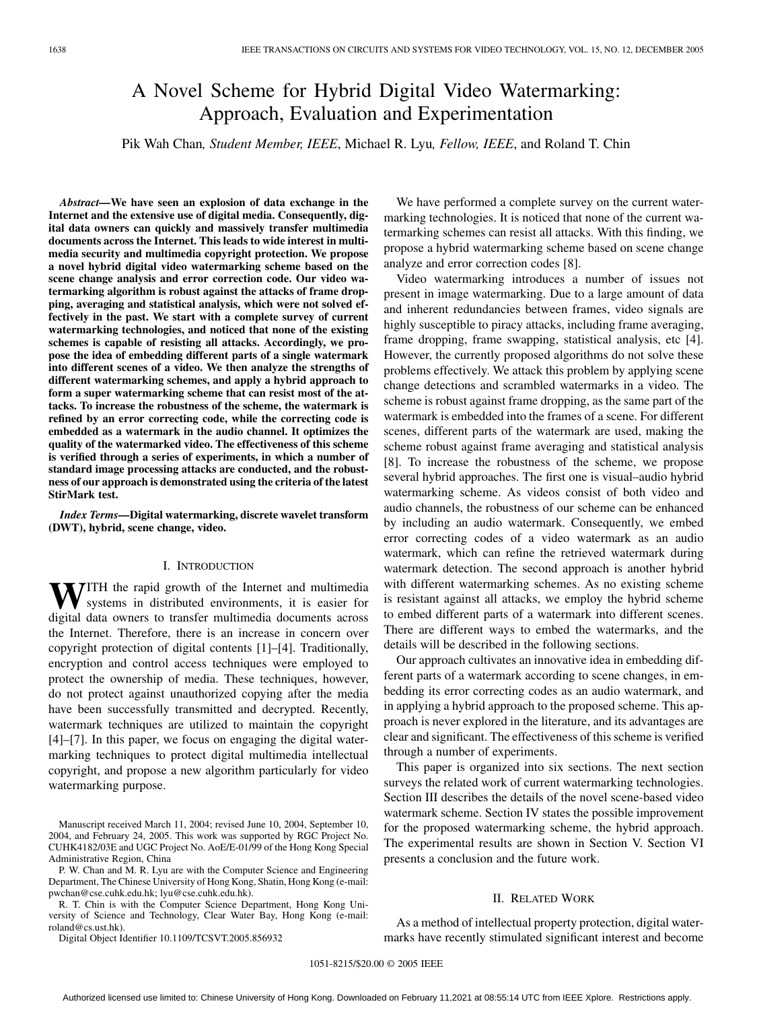# A Novel Scheme for Hybrid Digital Video Watermarking: Approach, Evaluation and Experimentation

Pik Wah Chan*, Student Member, IEEE*, Michael R. Lyu*, Fellow, IEEE*, and Roland T. Chin

*Abstract—***We have seen an explosion of data exchange in the Internet and the extensive use of digital media. Consequently, digital data owners can quickly and massively transfer multimedia documents across the Internet. This leads to wide interest in multimedia security and multimedia copyright protection. We propose a novel hybrid digital video watermarking scheme based on the scene change analysis and error correction code. Our video watermarking algorithm is robust against the attacks of frame dropping, averaging and statistical analysis, which were not solved effectively in the past. We start with a complete survey of current watermarking technologies, and noticed that none of the existing schemes is capable of resisting all attacks. Accordingly, we propose the idea of embedding different parts of a single watermark into different scenes of a video. We then analyze the strengths of different watermarking schemes, and apply a hybrid approach to form a super watermarking scheme that can resist most of the attacks. To increase the robustness of the scheme, the watermark is refined by an error correcting code, while the correcting code is embedded as a watermark in the audio channel. It optimizes the quality of the watermarked video. The effectiveness of this scheme is verified through a series of experiments, in which a number of standard image processing attacks are conducted, and the robustness of our approach is demonstrated using the criteria of the latest StirMark test.**

*Index Terms—***Digital watermarking, discrete wavelet transform (DWT), hybrid, scene change, video.**

## I. INTRODUCTION

**TITH** the rapid growth of the Internet and multimedia systems in distributed environments, it is easier for digital data owners to transfer multimedia documents across the Internet. Therefore, there is an increase in concern over copyright protection of digital contents [[1\]](#page-10-0)–[\[4](#page-11-0)]. Traditionally, encryption and control access techniques were employed to protect the ownership of media. These techniques, however, do not protect against unauthorized copying after the media have been successfully transmitted and decrypted. Recently, watermark techniques are utilized to maintain the copyright [\[4](#page-11-0)]–[\[7\]](#page-11-0). In this paper, we focus on engaging the digital watermarking techniques to protect digital multimedia intellectual copyright, and propose a new algorithm particularly for video watermarking purpose.

P. W. Chan and M. R. Lyu are with the Computer Science and Engineering Department, The Chinese University of Hong Kong, Shatin, Hong Kong (e-mail: pwchan@cse.cuhk.edu.hk; lyu@cse.cuhk.edu.hk).

R. T. Chin is with the Computer Science Department, Hong Kong University of Science and Technology, Clear Water Bay, Hong Kong (e-mail: roland@cs.ust.hk).

Digital Object Identifier 10.1109/TCSVT.2005.856932

We have performed a complete survey on the current watermarking technologies. It is noticed that none of the current watermarking schemes can resist all attacks. With this finding, we propose a hybrid watermarking scheme based on scene change analyze and error correction codes [\[8](#page-11-0)].

Video watermarking introduces a number of issues not present in image watermarking. Due to a large amount of data and inherent redundancies between frames, video signals are highly susceptible to piracy attacks, including frame averaging, frame dropping, frame swapping, statistical analysis, etc [\[4](#page-11-0)]. However, the currently proposed algorithms do not solve these problems effectively. We attack this problem by applying scene change detections and scrambled watermarks in a video. The scheme is robust against frame dropping, as the same part of the watermark is embedded into the frames of a scene. For different scenes, different parts of the watermark are used, making the scheme robust against frame averaging and statistical analysis [\[8](#page-11-0)]. To increase the robustness of the scheme, we propose several hybrid approaches. The first one is visual–audio hybrid watermarking scheme. As videos consist of both video and audio channels, the robustness of our scheme can be enhanced by including an audio watermark. Consequently, we embed error correcting codes of a video watermark as an audio watermark, which can refine the retrieved watermark during watermark detection. The second approach is another hybrid with different watermarking schemes. As no existing scheme is resistant against all attacks, we employ the hybrid scheme to embed different parts of a watermark into different scenes. There are different ways to embed the watermarks, and the details will be described in the following sections.

Our approach cultivates an innovative idea in embedding different parts of a watermark according to scene changes, in embedding its error correcting codes as an audio watermark, and in applying a hybrid approach to the proposed scheme. This approach is never explored in the literature, and its advantages are clear and significant. The effectiveness of this scheme is verified through a number of experiments.

This paper is organized into six sections. The next section surveys the related work of current watermarking technologies. Section III describes the details of the novel scene-based video watermark scheme. Section IV states the possible improvement for the proposed watermarking scheme, the hybrid approach. The experimental results are shown in Section V. Section VI presents a conclusion and the future work.

# II. RELATED WORK

As a method of intellectual property protection, digital watermarks have recently stimulated significant interest and become

Manuscript received March 11, 2004; revised June 10, 2004, September 10, 2004, and February 24, 2005. This work was supported by RGC Project No. CUHK4182/03E and UGC Project No. AoE/E-01/99 of the Hong Kong Special Administrative Region, China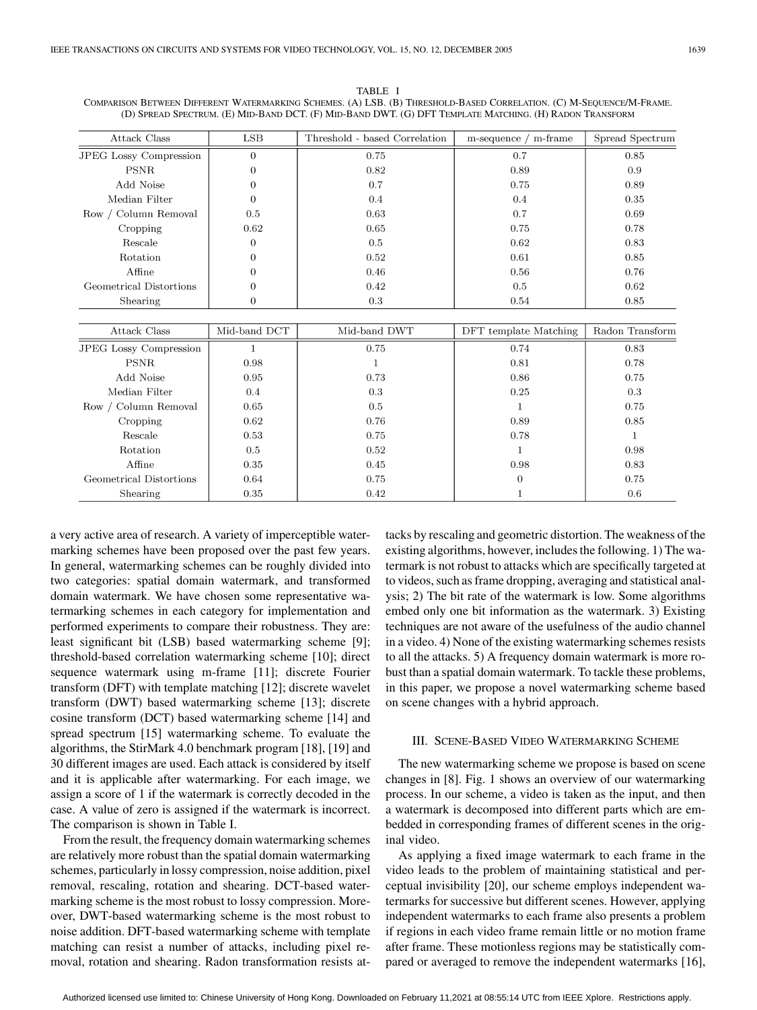TABLE I COMPARISON BETWEEN DIFFERENT WATERMARKING SCHEMES. (A) LSB. (B) THRESHOLD-BASED CORRELATION. (C) M-SEQUENCE/M-FRAME. (D) SPREAD SPECTRUM. (E) MID-BAND DCT. (F) MID-BAND DWT. (G) DFT TEMPLATE MATCHING. (H) RADON TRANSFORM

| Attack Class                  | $_{\rm{LSB}}$  | Threshold - based Correlation | m-sequence $\slash$ m-frame | ${\hbox{\sc Spec}}$ ${\hbox{\sc Spec}}$ |
|-------------------------------|----------------|-------------------------------|-----------------------------|-----------------------------------------|
| JPEG Lossy Compression        | $\Omega$       | 0.75                          | 0.7                         | 0.85                                    |
| <b>PSNR</b>                   | $\Omega$       | 0.82                          | 0.89                        | 0.9                                     |
| Add Noise                     | $\Omega$       | 0.7                           | 0.75                        | 0.89                                    |
| Median Filter                 | $\overline{0}$ | 0.4                           | 0.4                         | 0.35                                    |
| Row / Column Removal          | 0.5            | 0.63                          | 0.7                         | 0.69                                    |
| Cropping                      | 0.62           | 0.65                          | 0.75                        | 0.78                                    |
| Rescale                       | $\Omega$       | 0.5                           | 0.62                        | 0.83                                    |
| Rotation                      | 0              | 0.52                          | 0.61                        | 0.85                                    |
| Affine                        | $\Omega$       | 0.46                          | 0.56                        | 0.76                                    |
| Geometrical Distortions       | $\Omega$       | 0.42                          | 0.5                         | 0.62                                    |
| Shearing                      | $\overline{0}$ | 0.3                           | 0.54                        | 0.85                                    |
|                               |                |                               |                             |                                         |
| Attack Class                  | Mid-band DCT   | Mid-band DWT                  | DFT template Matching       | Radon Transform                         |
| <b>JPEG</b> Lossy Compression | $\mathbf{1}$   | 0.75                          | 0.74                        | 0.83                                    |
| <b>PSNR</b>                   | 0.98           | 1                             | 0.81                        | 0.78                                    |
| Add Noise                     | 0.95           | 0.73                          | 0.86                        | 0.75                                    |
| Median Filter                 | 0.4            | 0.3                           | 0.25                        | 0.3                                     |
| Row / Column Removal          | 0.65           | 0.5                           | 1                           | 0.75                                    |
| Cropping                      | 0.62           | 0.76                          | 0.89                        | 0.85                                    |
| Rescale                       | 0.53           | 0.75                          | 0.78                        | $\mathbf{1}$                            |
| Rotation                      | 0.5            | 0.52                          | 1                           | 0.98                                    |
| Affine                        | 0.35           | 0.45                          | 0.98                        | 0.83                                    |
| Geometrical Distortions       | 0.64           | 0.75                          | $\boldsymbol{0}$            | 0.75                                    |
| Shearing                      | 0.35           | 0.42                          |                             | 0.6                                     |

a very active area of research. A variety of imperceptible watermarking schemes have been proposed over the past few years. In general, watermarking schemes can be roughly divided into two categories: spatial domain watermark, and transformed domain watermark. We have chosen some representative watermarking schemes in each category for implementation and performed experiments to compare their robustness. They are: least significant bit (LSB) based watermarking scheme [[9\]](#page-11-0); threshold-based correlation watermarking scheme [\[10](#page-11-0)]; direct sequence watermark using m-frame [\[11](#page-11-0)]; discrete Fourier transform (DFT) with template matching [\[12](#page-11-0)]; discrete wavelet transform (DWT) based watermarking scheme [\[13](#page-11-0)]; discrete cosine transform (DCT) based watermarking scheme [[14\]](#page-11-0) and spread spectrum [[15\]](#page-11-0) watermarking scheme. To evaluate the algorithms, the StirMark 4.0 benchmark program [[18\]](#page-11-0), [[19\]](#page-11-0) and 30 different images are used. Each attack is considered by itself and it is applicable after watermarking. For each image, we assign a score of 1 if the watermark is correctly decoded in the case. A value of zero is assigned if the watermark is incorrect. The comparison is shown in Table I.

From the result, the frequency domain watermarking schemes are relatively more robust than the spatial domain watermarking schemes, particularly in lossy compression, noise addition, pixel removal, rescaling, rotation and shearing. DCT-based watermarking scheme is the most robust to lossy compression. Moreover, DWT-based watermarking scheme is the most robust to noise addition. DFT-based watermarking scheme with template matching can resist a number of attacks, including pixel removal, rotation and shearing. Radon transformation resists attacks by rescaling and geometric distortion. The weakness of the existing algorithms, however, includes the following. 1) The watermark is not robust to attacks which are specifically targeted at to videos, such as frame dropping, averaging and statistical analysis; 2) The bit rate of the watermark is low. Some algorithms embed only one bit information as the watermark. 3) Existing techniques are not aware of the usefulness of the audio channel in a video. 4) None of the existing watermarking schemes resists to all the attacks. 5) A frequency domain watermark is more robust than a spatial domain watermark. To tackle these problems, in this paper, we propose a novel watermarking scheme based on scene changes with a hybrid approach.

#### III. SCENE-BASED VIDEO WATERMARKING SCHEME

The new watermarking scheme we propose is based on scene changes in [[8\]](#page-11-0). Fig. 1 shows an overview of our watermarking process. In our scheme, a video is taken as the input, and then a watermark is decomposed into different parts which are embedded in corresponding frames of different scenes in the original video.

As applying a fixed image watermark to each frame in the video leads to the problem of maintaining statistical and perceptual invisibility [\[20](#page-11-0)], our scheme employs independent watermarks for successive but different scenes. However, applying independent watermarks to each frame also presents a problem if regions in each video frame remain little or no motion frame after frame. These motionless regions may be statistically compared or averaged to remove the independent watermarks [[16\]](#page-11-0),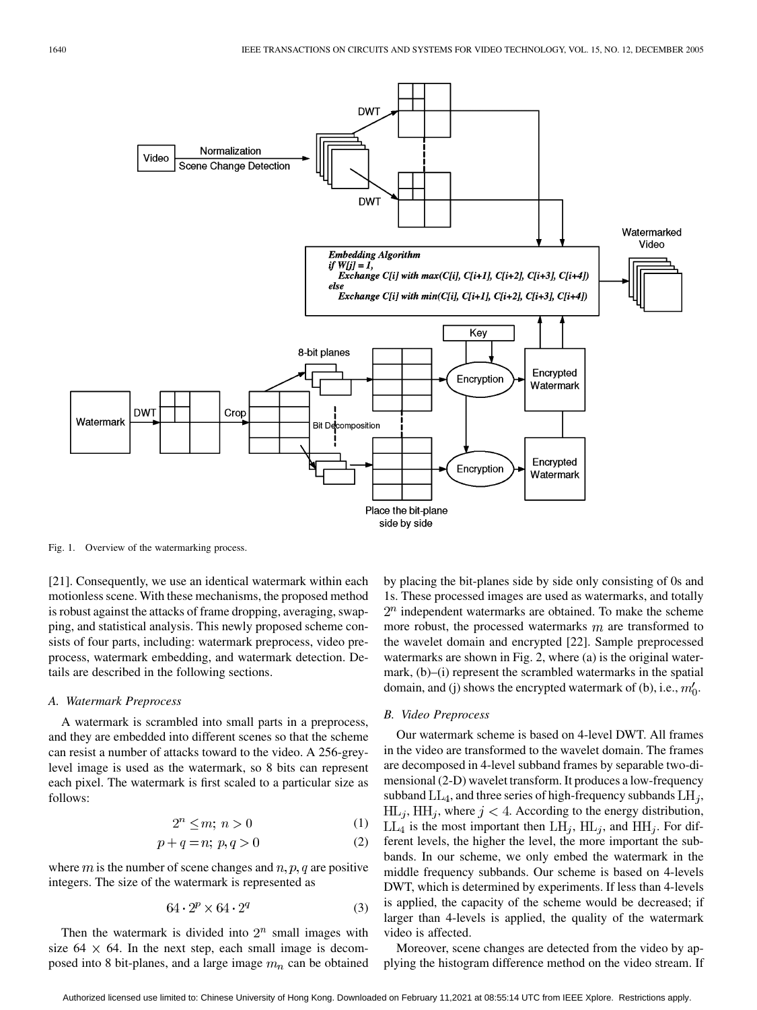

Fig. 1. Overview of the watermarking process.

[\[21](#page-11-0)]. Consequently, we use an identical watermark within each motionless scene. With these mechanisms, the proposed method is robust against the attacks of frame dropping, averaging, swapping, and statistical analysis. This newly proposed scheme consists of four parts, including: watermark preprocess, video preprocess, watermark embedding, and watermark detection. Details are described in the following sections.

## *A. Watermark Preprocess*

A watermark is scrambled into small parts in a preprocess, and they are embedded into different scenes so that the scheme can resist a number of attacks toward to the video. A 256-greylevel image is used as the watermark, so 8 bits can represent each pixel. The watermark is first scaled to a particular size as follows:

$$
2^n \le m; \, n > 0 \tag{1}
$$

$$
p + q = n; \ p, q > 0 \tag{2}
$$

where  $m$  is the number of scene changes and  $n, p, q$  are positive integers. The size of the watermark is represented as

$$
64 \cdot 2^p \times 64 \cdot 2^q \tag{3}
$$

Then the watermark is divided into  $2^n$  small images with size  $64 \times 64$ . In the next step, each small image is decomposed into 8 bit-planes, and a large image  $m_n$  can be obtained by placing the bit-planes side by side only consisting of 0s and 1s. These processed images are used as watermarks, and totally  $2<sup>n</sup>$  independent watermarks are obtained. To make the scheme more robust, the processed watermarks  $m$  are transformed to the wavelet domain and encrypted [[22\]](#page-11-0). Sample preprocessed watermarks are shown in Fig. 2, where (a) is the original watermark, (b)–(i) represent the scrambled watermarks in the spatial domain, and (j) shows the encrypted watermark of (b), i.e.,  $m'_0$ .

# *B. Video Preprocess*

Our watermark scheme is based on 4-level DWT. All frames in the video are transformed to the wavelet domain. The frames are decomposed in 4-level subband frames by separable two-dimensional (2-D) wavelet transform. It produces a low-frequency subband  $LL_4$ , and three series of high-frequency subbands  $LH_i$ ,  $HL_i$ , HH<sub>i</sub>, where  $j < 4$ . According to the energy distribution,  $LL_4$  is the most important then  $LH_i$ ,  $HL_i$ , and  $HH_i$ . For different levels, the higher the level, the more important the subbands. In our scheme, we only embed the watermark in the middle frequency subbands. Our scheme is based on 4-levels DWT, which is determined by experiments. If less than 4-levels is applied, the capacity of the scheme would be decreased; if larger than 4-levels is applied, the quality of the watermark video is affected.

Moreover, scene changes are detected from the video by applying the histogram difference method on the video stream. If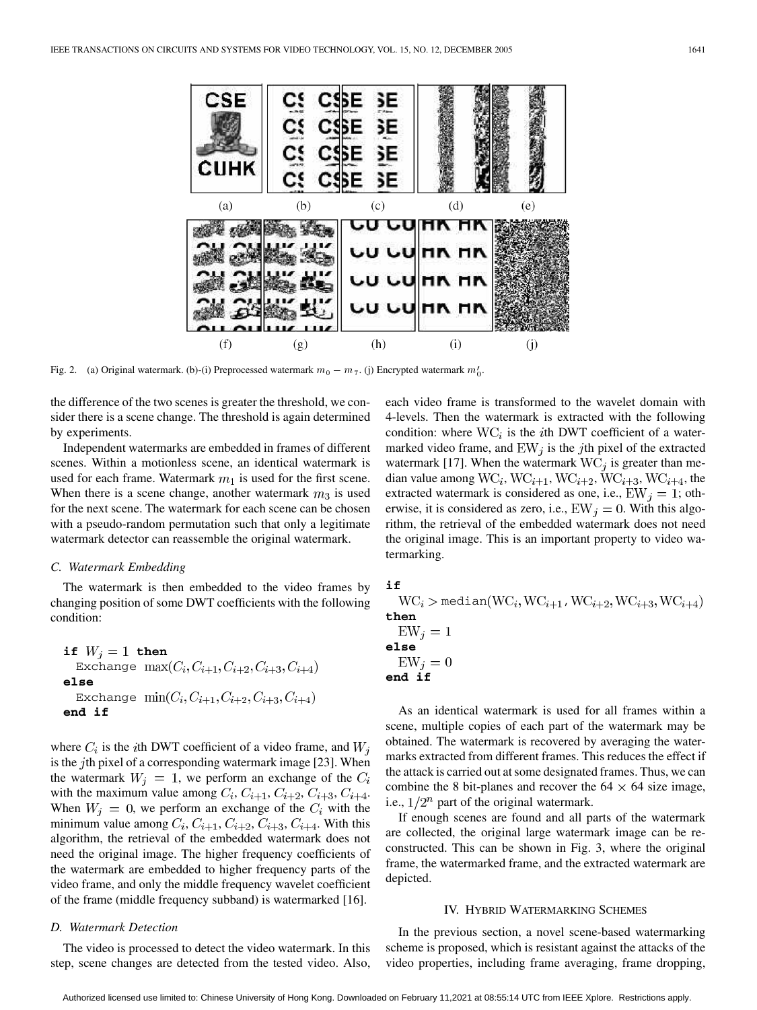

the difference of the two scenes is greater the threshold, we consider there is a scene change. The threshold is again determined by experiments.

Independent watermarks are embedded in frames of different scenes. Within a motionless scene, an identical watermark is used for each frame. Watermark  $m_1$  is used for the first scene. When there is a scene change, another watermark  $m_3$  is used for the next scene. The watermark for each scene can be chosen with a pseudo-random permutation such that only a legitimate watermark detector can reassemble the original watermark.

## *C. Watermark Embedding*

The watermark is then embedded to the video frames by changing position of some DWT coefficients with the following condition:

```
\nif 
$$
W_j = 1
$$
 then\n    Exchange max $(C_i, C_{i+1}, C_{i+2}, C_{i+3}, C_{i+4})$ \nelse\n    Exchange min $(C_i, C_{i+1}, C_{i+2}, C_{i+3}, C_{i+4})$ \nend if\n
```

where  $C_i$  is the *i*th DWT coefficient of a video frame, and  $W_i$ is the jth pixel of a corresponding watermark image  $[23]$  $[23]$ . When the watermark  $W_j = 1$ , we perform an exchange of the  $C_i$ with the maximum value among  $C_i$ ,  $C_{i+1}$ ,  $C_{i+2}$ ,  $C_{i+3}$ ,  $C_{i+4}$ . When  $W_i = 0$ , we perform an exchange of the  $C_i$  with the minimum value among  $C_i$ ,  $C_{i+1}$ ,  $C_{i+2}$ ,  $C_{i+3}$ ,  $C_{i+4}$ . With this algorithm, the retrieval of the embedded watermark does not need the original image. The higher frequency coefficients of the watermark are embedded to higher frequency parts of the video frame, and only the middle frequency wavelet coefficient of the frame (middle frequency subband) is watermarked [\[16](#page-11-0)].

#### *D. Watermark Detection*

The video is processed to detect the video watermark. In this step, scene changes are detected from the tested video. Also,

each video frame is transformed to the wavelet domain with 4-levels. Then the watermark is extracted with the following condition: where  $WC_i$  is the *i*th DWT coefficient of a watermarked video frame, and  $EW_j$  is the jth pixel of the extracted watermark [[17\]](#page-11-0). When the watermark  $WC<sub>i</sub>$  is greater than median value among  $\text{WC}_i$ ,  $\text{WC}_{i+1}$ ,  $\text{WC}_{i+2}$ ,  $\text{WC}_{i+3}$ ,  $\text{WC}_{i+4}$ , the extracted watermark is considered as one, i.e.,  $EW_i = 1$ ; otherwise, it is considered as zero, i.e.,  $EW<sub>j</sub> = 0$ . With this algorithm, the retrieval of the embedded watermark does not need the original image. This is an important property to video watermarking.

```
WC_i > median(WC_i, WC_{i+1}, WC_{i+2},WC_{i+3},WC_{i+4})then
EW_i = 1else
EW_i = 0end if
```
**if**

As an identical watermark is used for all frames within a scene, multiple copies of each part of the watermark may be obtained. The watermark is recovered by averaging the watermarks extracted from different frames. This reduces the effect if the attack is carried out at some designated frames. Thus, we can combine the 8 bit-planes and recover the  $64 \times 64$  size image, i.e.,  $1/2^n$  part of the original watermark.

If enough scenes are found and all parts of the watermark are collected, the original large watermark image can be reconstructed. This can be shown in Fig. 3, where the original frame, the watermarked frame, and the extracted watermark are depicted.

## IV. HYBRID WATERMARKING SCHEMES

In the previous section, a novel scene-based watermarking scheme is proposed, which is resistant against the attacks of the video properties, including frame averaging, frame dropping,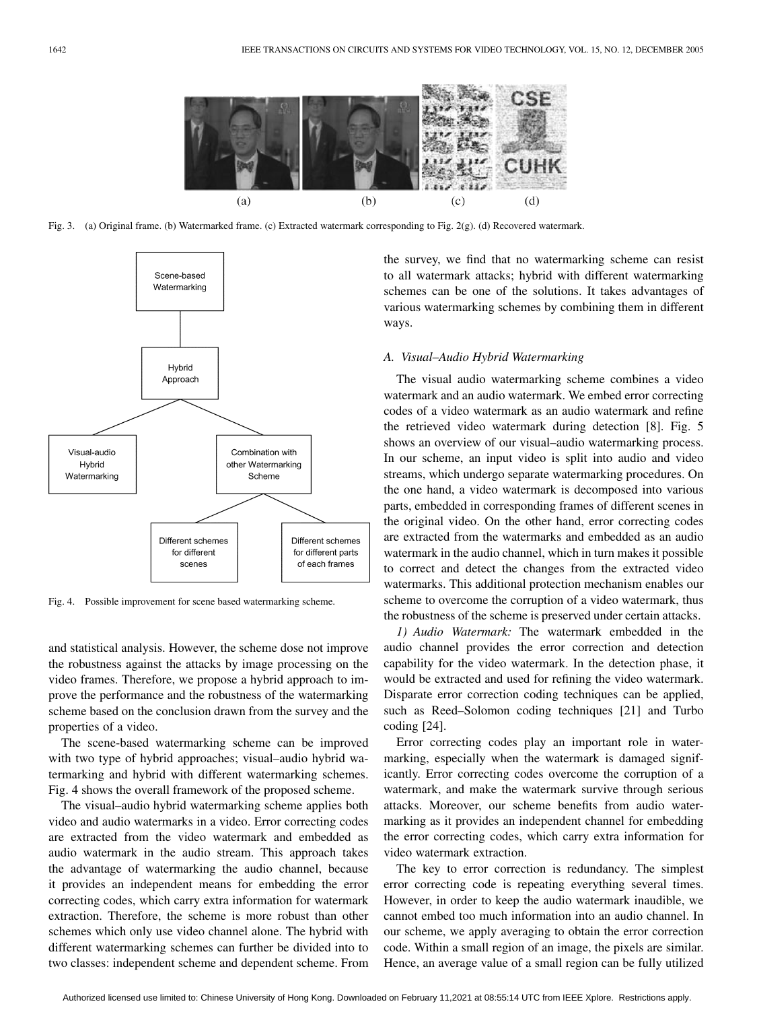

Fig. 3. (a) Original frame. (b) Watermarked frame. (c) Extracted watermark corresponding to Fig. 2(g). (d) Recovered watermark.



Fig. 4. Possible improvement for scene based watermarking scheme.

and statistical analysis. However, the scheme dose not improve the robustness against the attacks by image processing on the video frames. Therefore, we propose a hybrid approach to improve the performance and the robustness of the watermarking scheme based on the conclusion drawn from the survey and the properties of a video.

The scene-based watermarking scheme can be improved with two type of hybrid approaches; visual–audio hybrid watermarking and hybrid with different watermarking schemes. Fig. 4 shows the overall framework of the proposed scheme.

The visual–audio hybrid watermarking scheme applies both video and audio watermarks in a video. Error correcting codes are extracted from the video watermark and embedded as audio watermark in the audio stream. This approach takes the advantage of watermarking the audio channel, because it provides an independent means for embedding the error correcting codes, which carry extra information for watermark extraction. Therefore, the scheme is more robust than other schemes which only use video channel alone. The hybrid with different watermarking schemes can further be divided into to two classes: independent scheme and dependent scheme. From

the survey, we find that no watermarking scheme can resist to all watermark attacks; hybrid with different watermarking schemes can be one of the solutions. It takes advantages of various watermarking schemes by combining them in different ways.

# *A. Visual–Audio Hybrid Watermarking*

The visual audio watermarking scheme combines a video watermark and an audio watermark. We embed error correcting codes of a video watermark as an audio watermark and refine the retrieved video watermark during detection [\[8](#page-11-0)]. Fig. 5 shows an overview of our visual–audio watermarking process. In our scheme, an input video is split into audio and video streams, which undergo separate watermarking procedures. On the one hand, a video watermark is decomposed into various parts, embedded in corresponding frames of different scenes in the original video. On the other hand, error correcting codes are extracted from the watermarks and embedded as an audio watermark in the audio channel, which in turn makes it possible to correct and detect the changes from the extracted video watermarks. This additional protection mechanism enables our scheme to overcome the corruption of a video watermark, thus the robustness of the scheme is preserved under certain attacks.

*1) Audio Watermark:* The watermark embedded in the audio channel provides the error correction and detection capability for the video watermark. In the detection phase, it would be extracted and used for refining the video watermark. Disparate error correction coding techniques can be applied, such as Reed–Solomon coding techniques [[21\]](#page-11-0) and Turbo coding [[24\]](#page-11-0).

Error correcting codes play an important role in watermarking, especially when the watermark is damaged significantly. Error correcting codes overcome the corruption of a watermark, and make the watermark survive through serious attacks. Moreover, our scheme benefits from audio watermarking as it provides an independent channel for embedding the error correcting codes, which carry extra information for video watermark extraction.

The key to error correction is redundancy. The simplest error correcting code is repeating everything several times. However, in order to keep the audio watermark inaudible, we cannot embed too much information into an audio channel. In our scheme, we apply averaging to obtain the error correction code. Within a small region of an image, the pixels are similar. Hence, an average value of a small region can be fully utilized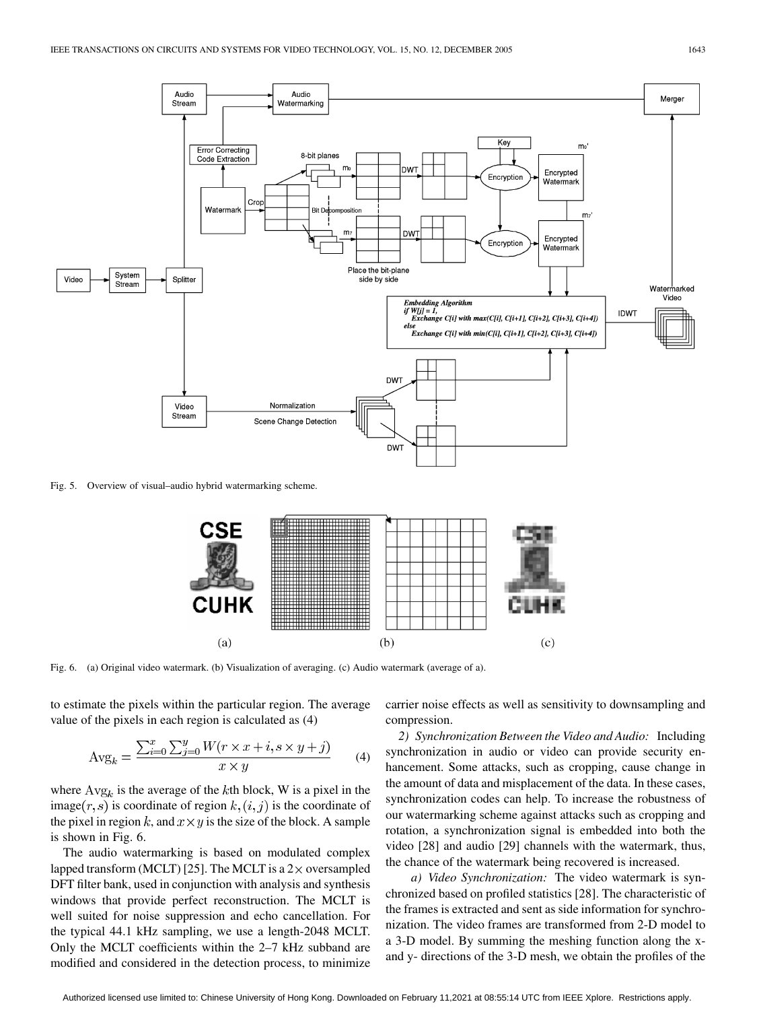

Fig. 5. Overview of visual–audio hybrid watermarking scheme.



Fig. 6. (a) Original video watermark. (b) Visualization of averaging. (c) Audio watermark (average of a).

to estimate the pixels within the particular region. The average value of the pixels in each region is calculated as (4)

$$
Avg_k = \frac{\sum_{i=0}^{x} \sum_{j=0}^{y} W(r \times x + i, s \times y + j)}{x \times y}
$$
 (4)

where  $Avg_k$  is the average of the kth block, W is a pixel in the image( $r, s$ ) is coordinate of region  $k, (i, j)$  is the coordinate of the pixel in region k, and  $x \times y$  is the size of the block. A sample is shown in Fig. 6.

The audio watermarking is based on modulated complex lapped transform (MCLT) [\[25](#page-11-0)]. The MCLT is a  $2\times$  oversampled DFT filter bank, used in conjunction with analysis and synthesis windows that provide perfect reconstruction. The MCLT is well suited for noise suppression and echo cancellation. For the typical 44.1 kHz sampling, we use a length-2048 MCLT. Only the MCLT coefficients within the 2–7 kHz subband are modified and considered in the detection process, to minimize carrier noise effects as well as sensitivity to downsampling and compression.

*2) Synchronization Between the Video and Audio:* Including synchronization in audio or video can provide security enhancement. Some attacks, such as cropping, cause change in the amount of data and misplacement of the data. In these cases, synchronization codes can help. To increase the robustness of our watermarking scheme against attacks such as cropping and rotation, a synchronization signal is embedded into both the video [\[28](#page-11-0)] and audio [[29\]](#page-11-0) channels with the watermark, thus, the chance of the watermark being recovered is increased.

*a) Video Synchronization:* The video watermark is synchronized based on profiled statistics [\[28](#page-11-0)]. The characteristic of the frames is extracted and sent as side information for synchronization. The video frames are transformed from 2-D model to a 3-D model. By summing the meshing function along the xand y- directions of the 3-D mesh, we obtain the profiles of the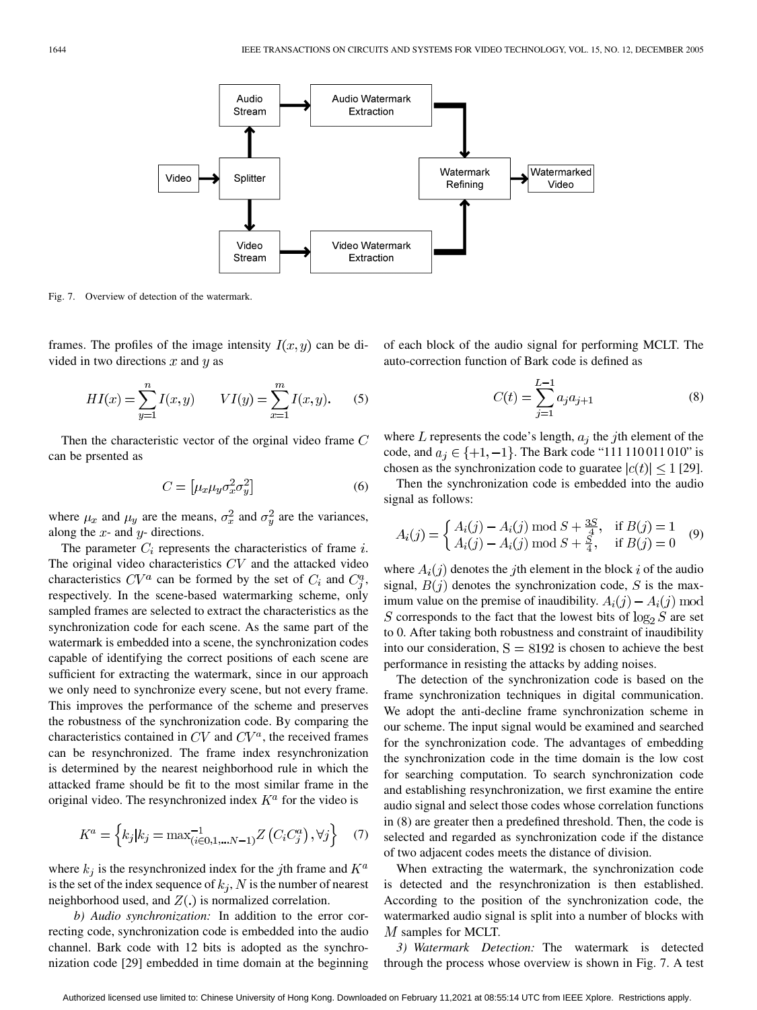Fig. 7. Overview of detection of the watermark.

frames. The profiles of the image intensity  $I(x, y)$  can be divided in two directions  $x$  and  $y$  as

$$
HI(x) = \sum_{y=1}^{n} I(x, y) \qquad VI(y) = \sum_{x=1}^{m} I(x, y). \tag{5}
$$

Then the characteristic vector of the orginal video frame  $C$ can be prsented as

$$
C = \left[\mu_x \mu_y \sigma_x^2 \sigma_y^2\right] \tag{6}
$$

where  $\mu_x$  and  $\mu_y$  are the means,  $\sigma_x^2$  and  $\sigma_y^2$  are the variances, along the  $x$ - and  $y$ - directions.

The parameter  $C_i$  represents the characteristics of frame i. The original video characteristics  $CV$  and the attacked video characteristics  $CV^a$  can be formed by the set of  $C_i$  and  $C_i^a$ , respectively. In the scene-based watermarking scheme, only sampled frames are selected to extract the characteristics as the synchronization code for each scene. As the same part of the watermark is embedded into a scene, the synchronization codes capable of identifying the correct positions of each scene are sufficient for extracting the watermark, since in our approach we only need to synchronize every scene, but not every frame. This improves the performance of the scheme and preserves the robustness of the synchronization code. By comparing the characteristics contained in  $CV$  and  $CV<sup>a</sup>$ , the received frames can be resynchronized. The frame index resynchronization is determined by the nearest neighborhood rule in which the attacked frame should be fit to the most similar frame in the original video. The resynchronized index  $K^a$  for the video is

$$
K^{a} = \left\{ k_{j} | k_{j} = \max_{(i \in 0, 1, \dots N-1)} Z\left(C_{i} C_{j}^{a}\right), \forall j \right\} \quad (7)
$$

where  $k_j$  is the resynchronized index for the jth frame and  $K^a$ is the set of the index sequence of  $k_i$ , N is the number of nearest neighborhood used, and  $Z(.)$  is normalized correlation.

*b) Audio synchronization:* In addition to the error correcting code, synchronization code is embedded into the audio channel. Bark code with 12 bits is adopted as the synchronization code [[29\]](#page-11-0) embedded in time domain at the beginning of each block of the audio signal for performing MCLT. The auto-correction function of Bark code is defined as

$$
C(t) = \sum_{j=1}^{L-1} a_j a_{j+1}
$$
 (8)

where L represents the code's length,  $a_i$  the jth element of the code, and  $a_j \in \{+1, -1\}$ . The Bark code "111 110 011 010" is chosen as the synchronization code to guaratee  $|c(t)| \le 1$  [[29\]](#page-11-0).

Then the synchronization code is embedded into the audio signal as follows:

$$
A_i(j) = \begin{cases} A_i(j) - A_i(j) \text{ mod } S + \frac{3S}{4}, & \text{if } B(j) = 1\\ A_i(j) - A_i(j) \text{ mod } S + \frac{S}{4}, & \text{if } B(j) = 0 \end{cases}
$$
(9)

where  $A_i(j)$  denotes the j<sup>th</sup> element in the block i of the audio signal,  $B(j)$  denotes the synchronization code, S is the maximum value on the premise of inaudibility.  $A_i(j) - A_i(j)$  mod S corresponds to the fact that the lowest bits of  $\log_2 S$  are set to 0. After taking both robustness and constraint of inaudibility into our consideration,  $S = 8192$  is chosen to achieve the best performance in resisting the attacks by adding noises.

The detection of the synchronization code is based on the frame synchronization techniques in digital communication. We adopt the anti-decline frame synchronization scheme in our scheme. The input signal would be examined and searched for the synchronization code. The advantages of embedding the synchronization code in the time domain is the low cost for searching computation. To search synchronization code and establishing resynchronization, we first examine the entire audio signal and select those codes whose correlation functions in (8) are greater then a predefined threshold. Then, the code is selected and regarded as synchronization code if the distance of two adjacent codes meets the distance of division.

When extracting the watermark, the synchronization code is detected and the resynchronization is then established. According to the position of the synchronization code, the watermarked audio signal is split into a number of blocks with  $M$  samples for MCLT.

*3) Watermark Detection:* The watermark is detected through the process whose overview is shown in Fig. 7. A test

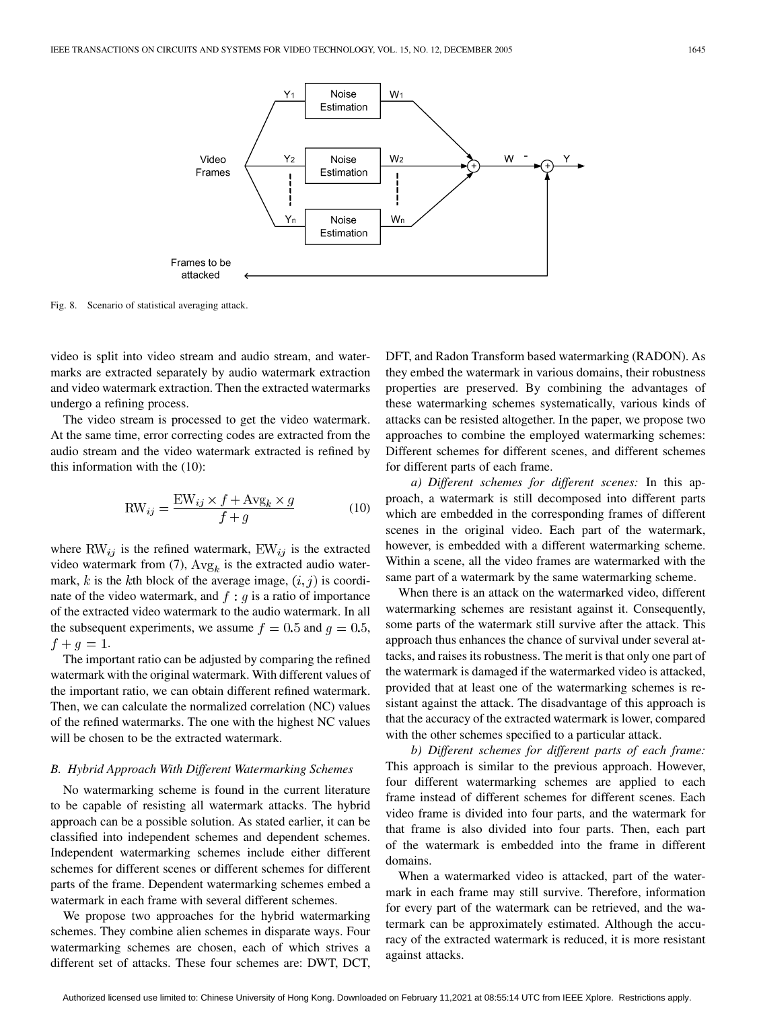

Fig. 8. Scenario of statistical averaging attack.

video is split into video stream and audio stream, and watermarks are extracted separately by audio watermark extraction and video watermark extraction. Then the extracted watermarks undergo a refining process.

The video stream is processed to get the video watermark. At the same time, error correcting codes are extracted from the audio stream and the video watermark extracted is refined by this information with the (10):

$$
RW_{ij} = \frac{EW_{ij} \times f + Avg_k \times g}{f + g}
$$
 (10)

where  $RW_{ij}$  is the refined watermark,  $EW_{ij}$  is the extracted video watermark from (7),  $Avg_k$  is the extracted audio watermark, k is the kth block of the average image,  $(i, j)$  is coordinate of the video watermark, and  $f : g$  is a ratio of importance of the extracted video watermark to the audio watermark. In all the subsequent experiments, we assume  $f = 0.5$  and  $g = 0.5$ ,  $f + g = 1.$ 

The important ratio can be adjusted by comparing the refined watermark with the original watermark. With different values of the important ratio, we can obtain different refined watermark. Then, we can calculate the normalized correlation (NC) values of the refined watermarks. The one with the highest NC values will be chosen to be the extracted watermark.

## *B. Hybrid Approach With Different Watermarking Schemes*

No watermarking scheme is found in the current literature to be capable of resisting all watermark attacks. The hybrid approach can be a possible solution. As stated earlier, it can be classified into independent schemes and dependent schemes. Independent watermarking schemes include either different schemes for different scenes or different schemes for different parts of the frame. Dependent watermarking schemes embed a watermark in each frame with several different schemes.

We propose two approaches for the hybrid watermarking schemes. They combine alien schemes in disparate ways. Four watermarking schemes are chosen, each of which strives a different set of attacks. These four schemes are: DWT, DCT, DFT, and Radon Transform based watermarking (RADON). As they embed the watermark in various domains, their robustness properties are preserved. By combining the advantages of these watermarking schemes systematically, various kinds of attacks can be resisted altogether. In the paper, we propose two approaches to combine the employed watermarking schemes: Different schemes for different scenes, and different schemes for different parts of each frame.

*a) Different schemes for different scenes:* In this approach, a watermark is still decomposed into different parts which are embedded in the corresponding frames of different scenes in the original video. Each part of the watermark, however, is embedded with a different watermarking scheme. Within a scene, all the video frames are watermarked with the same part of a watermark by the same watermarking scheme.

When there is an attack on the watermarked video, different watermarking schemes are resistant against it. Consequently, some parts of the watermark still survive after the attack. This approach thus enhances the chance of survival under several attacks, and raises its robustness. The merit is that only one part of the watermark is damaged if the watermarked video is attacked, provided that at least one of the watermarking schemes is resistant against the attack. The disadvantage of this approach is that the accuracy of the extracted watermark is lower, compared with the other schemes specified to a particular attack.

*b) Different schemes for different parts of each frame:* This approach is similar to the previous approach. However, four different watermarking schemes are applied to each frame instead of different schemes for different scenes. Each video frame is divided into four parts, and the watermark for that frame is also divided into four parts. Then, each part of the watermark is embedded into the frame in different domains.

When a watermarked video is attacked, part of the watermark in each frame may still survive. Therefore, information for every part of the watermark can be retrieved, and the watermark can be approximately estimated. Although the accuracy of the extracted watermark is reduced, it is more resistant against attacks.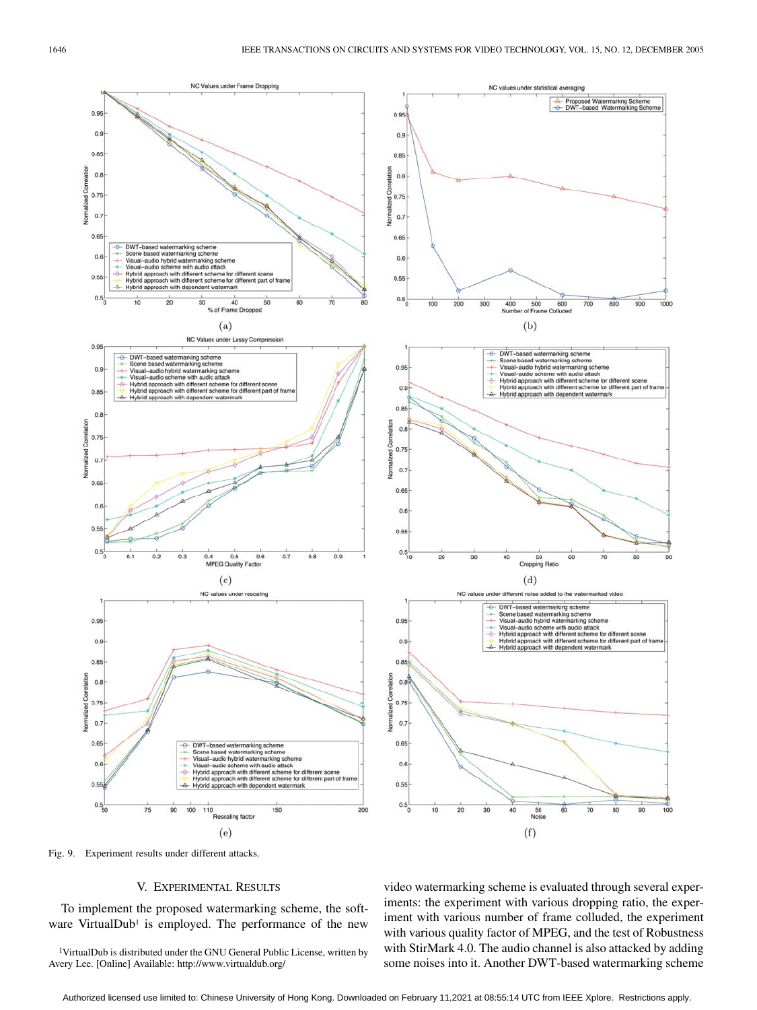

Fig. 9. Experiment results under different attacks.

## V. EXPERIMENTAL RESULTS

To implement the proposed watermarking scheme, the software VirtualDub<sup>1</sup> is employed. The performance of the new

1VirtualDub is distributed under the GNU General Public License, written by Avery Lee. [Online] Available: http://www.virtualdub.org/

video watermarking scheme is evaluated through several experiments: the experiment with various dropping ratio, the experiment with various number of frame colluded, the experiment with various quality factor of MPEG, and the test of Robustness with StirMark 4.0. The audio channel is also attacked by adding some noises into it. Another DWT-based watermarking scheme

Authorized licensed use limited to: Chinese University of Hong Kong. Downloaded on February 11,2021 at 08:55:14 UTC from IEEE Xplore. Restrictions apply.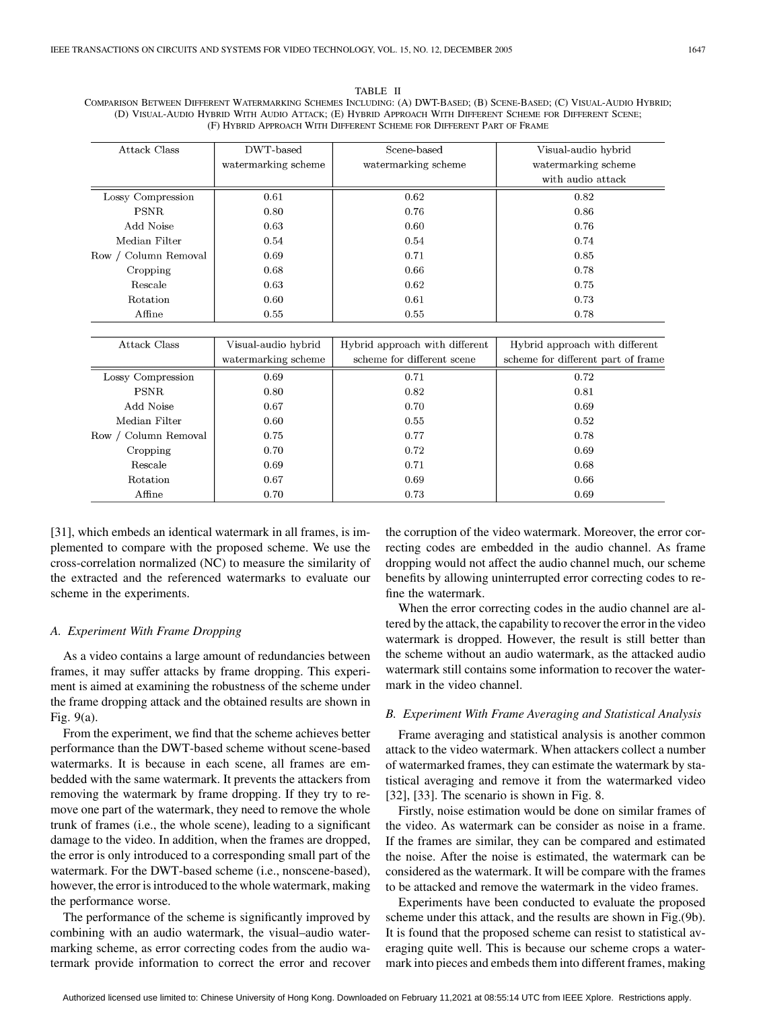| TABLE II                                                                                                              |
|-----------------------------------------------------------------------------------------------------------------------|
| COMPARISON BETWEEN DIFFERENT WATERMARKING SCHEMES INCLUDING: (A) DWT-BASED; (B) SCENE-BASED; (C) VISUAL-AUDIO HYBRID; |
| (D) VISUAL-AUDIO HYBRID WITH AUDIO ATTACK; (E) HYBRID APPROACH WITH DIFFERENT SCHEME FOR DIFFERENT SCENE;             |
| (F) HYBRID APPROACH WITH DIFFERENT SCHEME FOR DIFFERENT PART OF FRAME                                                 |

| Attack Class         | DWT-based           | Scene-based                    | Visual-audio hybrid                |  |
|----------------------|---------------------|--------------------------------|------------------------------------|--|
|                      | watermarking scheme | watermarking scheme            | watermarking scheme                |  |
|                      |                     |                                | with audio attack                  |  |
| Lossy Compression    | 0.61                | 0.62                           | 0.82                               |  |
| <b>PSNR</b>          | 0.80                | 0.76                           | 0.86                               |  |
| Add Noise            | 0.63                | 0.60                           | 0.76                               |  |
| Median Filter        | 0.54                | 0.54                           | 0.74                               |  |
| Row / Column Removal | 0.69                | 0.71                           | 0.85                               |  |
| Cropping             | 0.68                | 0.66                           | 0.78                               |  |
| Rescale              | 0.63                | 0.62                           | 0.75                               |  |
| Rotation             | 0.60                | 0.61                           | 0.73                               |  |
| Affine               | 0.55                | 0.55                           | 0.78                               |  |
|                      |                     |                                |                                    |  |
| Attack Class         | Visual-audio hybrid | Hybrid approach with different | Hybrid approach with different     |  |
|                      | watermarking scheme | scheme for different scene     | scheme for different part of frame |  |
| Lossy Compression    | 0.69                | 0.71                           | 0.72                               |  |
| <b>PSNR</b>          | 0.80                | 0.82                           | 0.81                               |  |
| Add Noise            | 0.67                | 0.70                           | 0.69                               |  |
| Median Filter        | 0.60                | 0.55                           | 0.52                               |  |
| Row / Column Removal | 0.75                | 0.77                           | 0.78                               |  |
| Cropping             | 0.70                | 0.72                           | 0.69                               |  |
| Rescale              | 0.69                | 0.71                           | 0.68                               |  |
| Rotation             | 0.67                | 0.69                           | 0.66                               |  |
| Affine               | 0.70                | 0.73                           | 0.69                               |  |

[[31\]](#page-11-0), which embeds an identical watermark in all frames, is implemented to compare with the proposed scheme. We use the cross-correlation normalized (NC) to measure the similarity of the extracted and the referenced watermarks to evaluate our scheme in the experiments.

## *A. Experiment With Frame Dropping*

As a video contains a large amount of redundancies between frames, it may suffer attacks by frame dropping. This experiment is aimed at examining the robustness of the scheme under the frame dropping attack and the obtained results are shown in Fig. 9(a).

From the experiment, we find that the scheme achieves better performance than the DWT-based scheme without scene-based watermarks. It is because in each scene, all frames are embedded with the same watermark. It prevents the attackers from removing the watermark by frame dropping. If they try to remove one part of the watermark, they need to remove the whole trunk of frames (i.e., the whole scene), leading to a significant damage to the video. In addition, when the frames are dropped, the error is only introduced to a corresponding small part of the watermark. For the DWT-based scheme (i.e., nonscene-based), however, the error is introduced to the whole watermark, making the performance worse.

The performance of the scheme is significantly improved by combining with an audio watermark, the visual–audio watermarking scheme, as error correcting codes from the audio watermark provide information to correct the error and recover

the corruption of the video watermark. Moreover, the error correcting codes are embedded in the audio channel. As frame dropping would not affect the audio channel much, our scheme benefits by allowing uninterrupted error correcting codes to refine the watermark.

When the error correcting codes in the audio channel are altered by the attack, the capability to recover the error in the video watermark is dropped. However, the result is still better than the scheme without an audio watermark, as the attacked audio watermark still contains some information to recover the watermark in the video channel.

## *B. Experiment With Frame Averaging and Statistical Analysis*

Frame averaging and statistical analysis is another common attack to the video watermark. When attackers collect a number of watermarked frames, they can estimate the watermark by statistical averaging and remove it from the watermarked video [[32\]](#page-11-0), [[33\]](#page-11-0). The scenario is shown in Fig. 8.

Firstly, noise estimation would be done on similar frames of the video. As watermark can be consider as noise in a frame. If the frames are similar, they can be compared and estimated the noise. After the noise is estimated, the watermark can be considered as the watermark. It will be compare with the frames to be attacked and remove the watermark in the video frames.

Experiments have been conducted to evaluate the proposed scheme under this attack, and the results are shown in Fig.(9b). It is found that the proposed scheme can resist to statistical averaging quite well. This is because our scheme crops a watermark into pieces and embeds them into different frames, making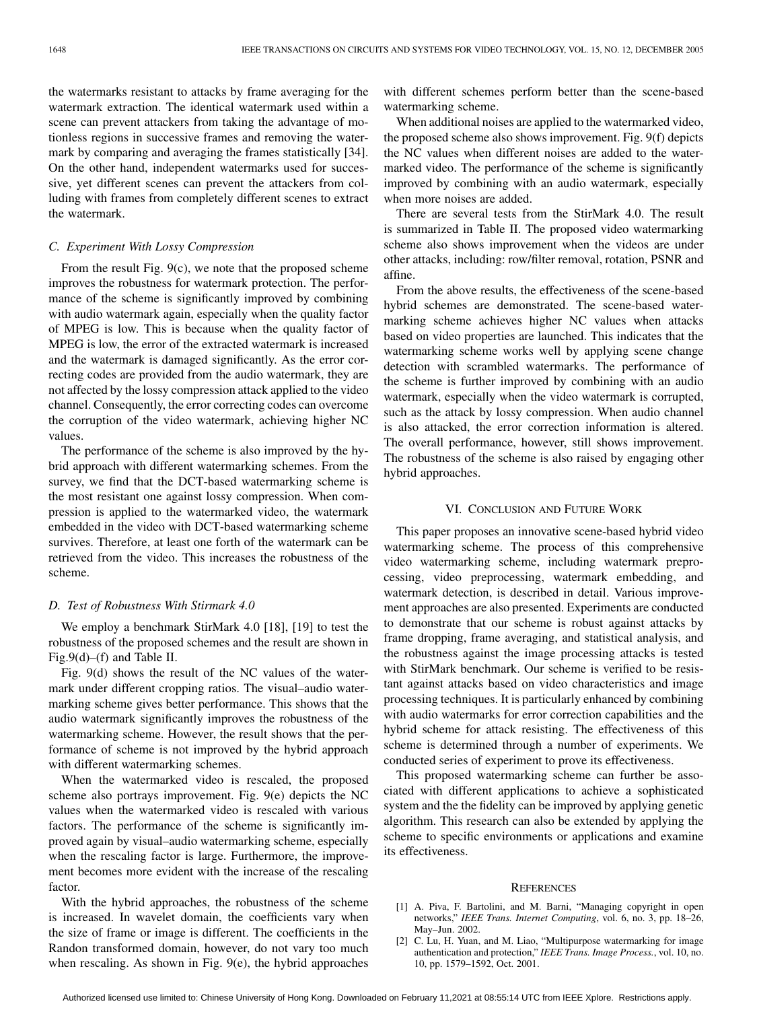<span id="page-10-0"></span>the watermarks resistant to attacks by frame averaging for the watermark extraction. The identical watermark used within a scene can prevent attackers from taking the advantage of motionless regions in successive frames and removing the watermark by comparing and averaging the frames statistically [\[34](#page-11-0)]. On the other hand, independent watermarks used for successive, yet different scenes can prevent the attackers from colluding with frames from completely different scenes to extract the watermark.

## *C. Experiment With Lossy Compression*

From the result Fig. 9(c), we note that the proposed scheme improves the robustness for watermark protection. The performance of the scheme is significantly improved by combining with audio watermark again, especially when the quality factor of MPEG is low. This is because when the quality factor of MPEG is low, the error of the extracted watermark is increased and the watermark is damaged significantly. As the error correcting codes are provided from the audio watermark, they are not affected by the lossy compression attack applied to the video channel. Consequently, the error correcting codes can overcome the corruption of the video watermark, achieving higher NC values.

The performance of the scheme is also improved by the hybrid approach with different watermarking schemes. From the survey, we find that the DCT-based watermarking scheme is the most resistant one against lossy compression. When compression is applied to the watermarked video, the watermark embedded in the video with DCT-based watermarking scheme survives. Therefore, at least one forth of the watermark can be retrieved from the video. This increases the robustness of the scheme.

#### *D. Test of Robustness With Stirmark 4.0*

We employ a benchmark StirMark 4.0 [\[18](#page-11-0)], [[19\]](#page-11-0) to test the robustness of the proposed schemes and the result are shown in Fig.9(d)–(f) and Table II.

Fig. 9(d) shows the result of the NC values of the watermark under different cropping ratios. The visual–audio watermarking scheme gives better performance. This shows that the audio watermark significantly improves the robustness of the watermarking scheme. However, the result shows that the performance of scheme is not improved by the hybrid approach with different watermarking schemes.

When the watermarked video is rescaled, the proposed scheme also portrays improvement. Fig. 9(e) depicts the NC values when the watermarked video is rescaled with various factors. The performance of the scheme is significantly improved again by visual–audio watermarking scheme, especially when the rescaling factor is large. Furthermore, the improvement becomes more evident with the increase of the rescaling factor.

With the hybrid approaches, the robustness of the scheme is increased. In wavelet domain, the coefficients vary when the size of frame or image is different. The coefficients in the Randon transformed domain, however, do not vary too much when rescaling. As shown in Fig. 9(e), the hybrid approaches

with different schemes perform better than the scene-based watermarking scheme.

When additional noises are applied to the watermarked video, the proposed scheme also shows improvement. Fig. 9(f) depicts the NC values when different noises are added to the watermarked video. The performance of the scheme is significantly improved by combining with an audio watermark, especially when more noises are added.

There are several tests from the StirMark 4.0. The result is summarized in Table II. The proposed video watermarking scheme also shows improvement when the videos are under other attacks, including: row/filter removal, rotation, PSNR and affine.

From the above results, the effectiveness of the scene-based hybrid schemes are demonstrated. The scene-based watermarking scheme achieves higher NC values when attacks based on video properties are launched. This indicates that the watermarking scheme works well by applying scene change detection with scrambled watermarks. The performance of the scheme is further improved by combining with an audio watermark, especially when the video watermark is corrupted, such as the attack by lossy compression. When audio channel is also attacked, the error correction information is altered. The overall performance, however, still shows improvement. The robustness of the scheme is also raised by engaging other hybrid approaches.

#### VI. CONCLUSION AND FUTURE WORK

This paper proposes an innovative scene-based hybrid video watermarking scheme. The process of this comprehensive video watermarking scheme, including watermark preprocessing, video preprocessing, watermark embedding, and watermark detection, is described in detail. Various improvement approaches are also presented. Experiments are conducted to demonstrate that our scheme is robust against attacks by frame dropping, frame averaging, and statistical analysis, and the robustness against the image processing attacks is tested with StirMark benchmark. Our scheme is verified to be resistant against attacks based on video characteristics and image processing techniques. It is particularly enhanced by combining with audio watermarks for error correction capabilities and the hybrid scheme for attack resisting. The effectiveness of this scheme is determined through a number of experiments. We conducted series of experiment to prove its effectiveness.

This proposed watermarking scheme can further be associated with different applications to achieve a sophisticated system and the the fidelity can be improved by applying genetic algorithm. This research can also be extended by applying the scheme to specific environments or applications and examine its effectiveness.

#### **REFERENCES**

- [1] A. Piva, F. Bartolini, and M. Barni, "Managing copyright in open networks," *IEEE Trans. Internet Computing*, vol. 6, no. 3, pp. 18–26, May–Jun. 2002.
- [2] C. Lu, H. Yuan, and M. Liao, "Multipurpose watermarking for image authentication and protection," *IEEE Trans. Image Process.*, vol. 10, no. 10, pp. 1579–1592, Oct. 2001.